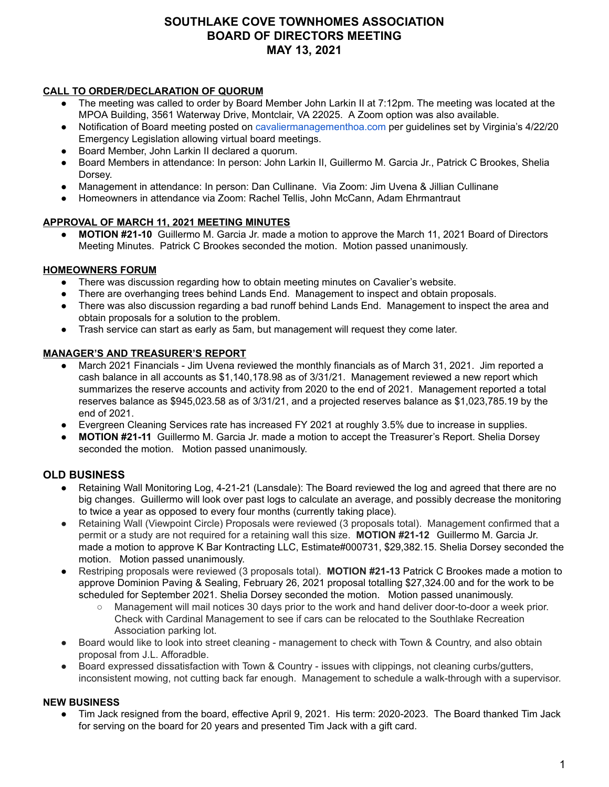# **SOUTHLAKE COVE TOWNHOMES ASSOCIATION BOARD OF DIRECTORS MEETING MAY 13, 2021**

#### **CALL TO ORDER/DECLARATION OF QUORUM**

- The meeting was called to order by Board Member John Larkin II at 7:12pm. The meeting was located at the MPOA Building, 3561 Waterway Drive, Montclair, VA 22025. A Zoom option was also available.
- Notification of Board meeting posted on [cavaliermanagementhoa.com](http://cavaliermanagementhoa.com/) per guidelines set by Virginia's 4/22/20 Emergency Legislation allowing virtual board meetings.
- Board Member, John Larkin II declared a quorum.
- Board Members in attendance: In person: John Larkin II, Guillermo M. Garcia Jr., Patrick C Brookes, Shelia Dorsey.
- Management in attendance: In person: Dan Cullinane. Via Zoom: Jim Uvena & Jillian Cullinane
- Homeowners in attendance via Zoom: Rachel Tellis, John McCann, Adam Ehrmantraut

## **APPROVAL OF MARCH 11, 2021 MEETING MINUTES**

**● MOTION #21-10** Guillermo M. Garcia Jr. made a motion to approve the March 11, 2021 Board of Directors Meeting Minutes. Patrick C Brookes seconded the motion. Motion passed unanimously.

#### **HOMEOWNERS FORUM**

- There was discussion regarding how to obtain meeting minutes on Cavalier's website.
- There are overhanging trees behind Lands End. Management to inspect and obtain proposals.
- There was also discussion regarding a bad runoff behind Lands End. Management to inspect the area and obtain proposals for a solution to the problem.
- Trash service can start as early as 5am, but management will request they come later.

#### **MANAGER'S AND TREASURER'S REPORT**

- March 2021 Financials Jim Uvena reviewed the monthly financials as of March 31, 2021. Jim reported a cash balance in all accounts as \$1,140,178.98 as of 3/31/21. Management reviewed a new report which summarizes the reserve accounts and activity from 2020 to the end of 2021. Management reported a total reserves balance as \$945,023.58 as of 3/31/21, and a projected reserves balance as \$1,023,785.19 by the end of 2021.
- Evergreen Cleaning Services rate has increased FY 2021 at roughly 3.5% due to increase in supplies.
- **MOTION #21-11** Guillermo M. Garcia Jr. made a motion to accept the Treasurer's Report. Shelia Dorsey seconded the motion. Motion passed unanimously.

## **OLD BUSINESS**

- Retaining Wall Monitoring Log, 4-21-21 (Lansdale): The Board reviewed the log and agreed that there are no big changes. Guillermo will look over past logs to calculate an average, and possibly decrease the monitoring to twice a year as opposed to every four months (currently taking place).
- Retaining Wall (Viewpoint Circle) Proposals were reviewed (3 proposals total). Management confirmed that a permit or a study are not required for a retaining wall this size. **MOTION #21-12** Guillermo M. Garcia Jr. made a motion to approve K Bar Kontracting LLC, Estimate#000731, \$29,382.15. Shelia Dorsey seconded the motion. Motion passed unanimously.
- Restriping proposals were reviewed (3 proposals total). **MOTION #21-13** Patrick C Brookes made a motion to approve Dominion Paving & Sealing, February 26, 2021 proposal totalling \$27,324.00 and for the work to be scheduled for September 2021. Shelia Dorsey seconded the motion. Motion passed unanimously.
	- Management will mail notices 30 days prior to the work and hand deliver door-to-door a week prior. Check with Cardinal Management to see if cars can be relocated to the Southlake Recreation Association parking lot.
- Board would like to look into street cleaning management to check with Town & Country, and also obtain proposal from J.L. Afforadble.
- Board expressed dissatisfaction with Town & Country issues with clippings, not cleaning curbs/gutters, inconsistent mowing, not cutting back far enough. Management to schedule a walk-through with a supervisor.

## **NEW BUSINESS**

● Tim Jack resigned from the board, effective April 9, 2021. His term: 2020-2023. The Board thanked Tim Jack for serving on the board for 20 years and presented Tim Jack with a gift card.